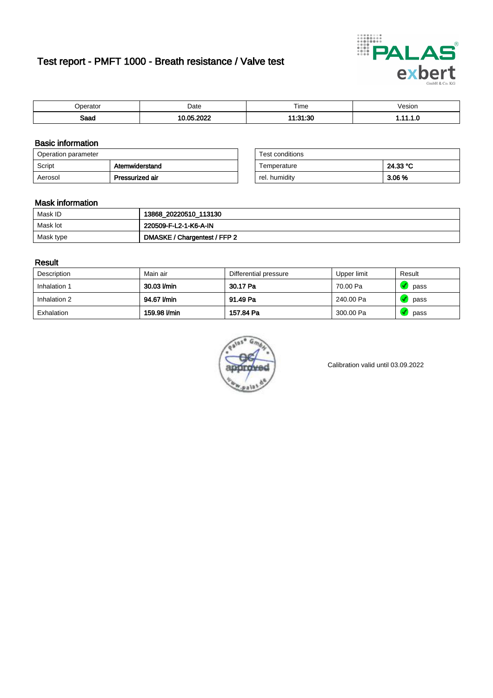# Test report - PMFT 1000 - Breath resistance / Valve test



| <b>'</b> perator | Date          | $- \cdot$<br>Time            | /esion |
|------------------|---------------|------------------------------|--------|
| Saad             | റററ<br>$\sim$ | .01.00<br>٠<br>1.OU<br>نده . | .      |

### Basic information

| Operation parameter |                 | Test conditions |          |
|---------------------|-----------------|-----------------|----------|
| Script              | Atemwiderstand  | Temperature     | 24.33 °C |
| Aerosol             | Pressurized air | rel. humidity   | 3.06 %   |

| Test conditions |          |
|-----------------|----------|
| Temperature     | 24.33 °C |
| rel. humidity   | 3.06%    |

#### Mask information

| Mask ID   | 13868_20220510_113130        |
|-----------|------------------------------|
| Mask lot  | 220509-F-L2-1-K6-A-IN        |
| Mask type | DMASKE / Chargentest / FFP 2 |

### Result

| Description  | Main air     | Differential pressure | Upper limit | Result |
|--------------|--------------|-----------------------|-------------|--------|
| Inhalation 1 | 30.03 l/min  | 30.17 Pa              | 70.00 Pa    | pass   |
| Inhalation 2 | 94.67 l/min  | 91.49 Pa              | 240.00 Pa   | pass   |
| Exhalation   | 159.98 l/min | 157.84 Pa             | 300.00 Pa   | pass   |



Calibration valid until 03.09.2022